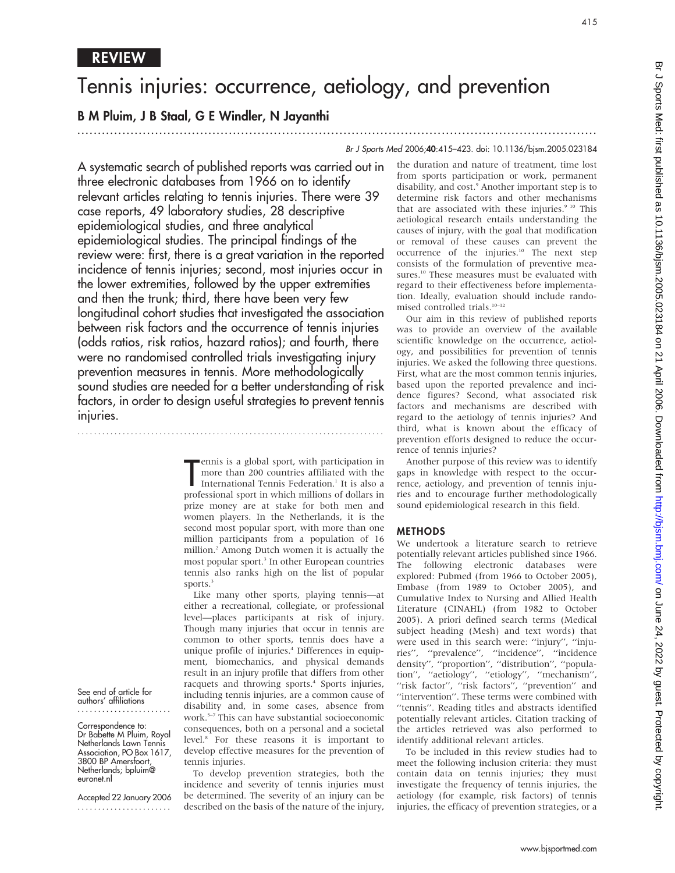# Tennis injuries: occurrence, aetiology, and prevention

.............................................................................................................................. .

# B M Pluim, J B Staal, G E Windler, N Jayanthi

REVIEW

# Br J Sports Med 2006;40:415–423. doi: 10.1136/bjsm.2005.023184

A systematic search of published reports was carried out in three electronic databases from 1966 on to identify relevant articles relating to tennis injuries. There were 39 case reports, 49 laboratory studies, 28 descriptive epidemiological studies, and three analytical epidemiological studies. The principal findings of the review were: first, there is a great variation in the reported incidence of tennis injuries; second, most injuries occur in the lower extremities, followed by the upper extremities and then the trunk; third, there have been very few longitudinal cohort studies that investigated the association between risk factors and the occurrence of tennis injuries (odds ratios, risk ratios, hazard ratios); and fourth, there were no randomised controlled trials investigating injury prevention measures in tennis. More methodologically sound studies are needed for a better understanding of risk factors, in order to design useful strategies to prevent tennis injuries.

...........................................................................

ennis is a global sport, with participation in<br>
more than 200 countries affiliated with the<br>
International Tennis Federation.<sup>1</sup> It is also a<br>
professional sport in which millions of dollars in ennis is a global sport, with participation in more than 200 countries affiliated with the International Tennis Federation.<sup>1</sup> It is also a prize money are at stake for both men and women players. In the Netherlands, it is the second most popular sport, with more than one million participants from a population of 16 million.2 Among Dutch women it is actually the most popular sport.<sup>3</sup> In other European countries tennis also ranks high on the list of popular sports.<sup>3</sup>

Like many other sports, playing tennis—at either a recreational, collegiate, or professional level—places participants at risk of injury. Though many injuries that occur in tennis are common to other sports, tennis does have a unique profile of injuries.4 Differences in equipment, biomechanics, and physical demands result in an injury profile that differs from other racquets and throwing sports.<sup>4</sup> Sports injuries, including tennis injuries, are a common cause of disability and, in some cases, absence from work.5–7 This can have substantial socioeconomic consequences, both on a personal and a societal level.8 For these reasons it is important to develop effective measures for the prevention of tennis injuries.

To develop prevention strategies, both the incidence and severity of tennis injuries must be determined. The severity of an injury can be described on the basis of the nature of the injury,

the duration and nature of treatment, time lost from sports participation or work, permanent disability, and cost.<sup>9</sup> Another important step is to determine risk factors and other mechanisms that are associated with these injuries.<sup>9 10</sup> This aetiological research entails understanding the causes of injury, with the goal that modification or removal of these causes can prevent the occurrence of the injuries.<sup>10</sup> The next step consists of the formulation of preventive measures.<sup>10</sup> These measures must be evaluated with regard to their effectiveness before implementation. Ideally, evaluation should include randomised controlled trials. $10-12$ 

Our aim in this review of published reports was to provide an overview of the available scientific knowledge on the occurrence, aetiology, and possibilities for prevention of tennis injuries. We asked the following three questions. First, what are the most common tennis injuries, based upon the reported prevalence and incidence figures? Second, what associated risk factors and mechanisms are described with regard to the aetiology of tennis injuries? And third, what is known about the efficacy of prevention efforts designed to reduce the occurrence of tennis injuries?

Another purpose of this review was to identify gaps in knowledge with respect to the occurrence, aetiology, and prevention of tennis injuries and to encourage further methodologically sound epidemiological research in this field.

# METHODS

We undertook a literature search to retrieve potentially relevant articles published since 1966. The following electronic databases were explored: Pubmed (from 1966 to October 2005), Embase (from 1989 to October 2005), and Cumulative Index to Nursing and Allied Health Literature (CINAHL) (from 1982 to October 2005). A priori defined search terms (Medical subject heading (Mesh) and text words) that were used in this search were: ''injury'', ''injuries'', ''prevalence'', ''incidence'', ''incidence density'', ''proportion'', ''distribution'', ''population'', ''aetiology'', ''etiology'', ''mechanism'', "risk factor", "risk factors", "prevention" and "intervention". These terms were combined with ''tennis''. Reading titles and abstracts identified potentially relevant articles. Citation tracking of the articles retrieved was also performed to identify additional relevant articles.

To be included in this review studies had to meet the following inclusion criteria: they must contain data on tennis injuries; they must investigate the frequency of tennis injuries, the aetiology (for example, risk factors) of tennis injuries, the efficacy of prevention strategies, or a

See end of article for authors' affiliations .......................

Correspondence to: Dr Babette M Pluim, Royal Netherlands Lawn Tennis Association, PO Box 1617, 3800 BP Amersfoort, Netherlands; bpluim@ euronet.nl

Accepted 22 January 2006 .......................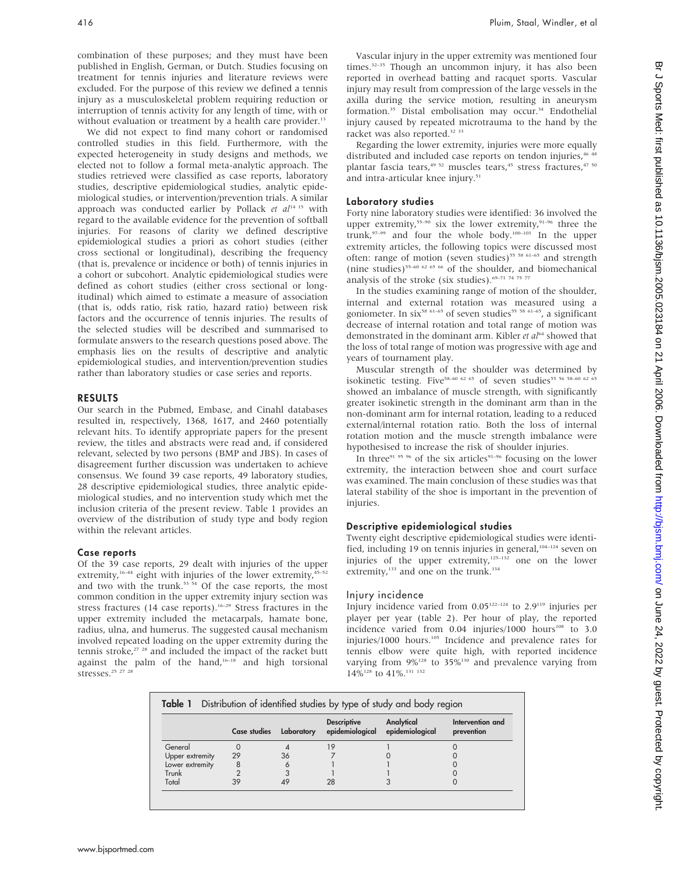combination of these purposes; and they must have been published in English, German, or Dutch. Studies focusing on treatment for tennis injuries and literature reviews were excluded. For the purpose of this review we defined a tennis injury as a musculoskeletal problem requiring reduction or interruption of tennis activity for any length of time, with or without evaluation or treatment by a health care provider.<sup>13</sup>

We did not expect to find many cohort or randomised controlled studies in this field. Furthermore, with the expected heterogeneity in study designs and methods, we elected not to follow a formal meta-analytic approach. The studies retrieved were classified as case reports, laboratory studies, descriptive epidemiological studies, analytic epidemiological studies, or intervention/prevention trials. A similar approach was conducted earlier by Pollack et  $al<sup>14-15</sup>$  with regard to the available evidence for the prevention of softball injuries. For reasons of clarity we defined descriptive epidemiological studies a priori as cohort studies (either cross sectional or longitudinal), describing the frequency (that is, prevalence or incidence or both) of tennis injuries in a cohort or subcohort. Analytic epidemiological studies were defined as cohort studies (either cross sectional or longitudinal) which aimed to estimate a measure of association (that is, odds ratio, risk ratio, hazard ratio) between risk factors and the occurrence of tennis injuries. The results of the selected studies will be described and summarised to formulate answers to the research questions posed above. The emphasis lies on the results of descriptive and analytic epidemiological studies, and intervention/prevention studies rather than laboratory studies or case series and reports.

#### RESULTS

Our search in the Pubmed, Embase, and Cinahl databases resulted in, respectively, 1368, 1617, and 2460 potentially relevant hits. To identify appropriate papers for the present review, the titles and abstracts were read and, if considered relevant, selected by two persons (BMP and JBS). In cases of disagreement further discussion was undertaken to achieve consensus. We found 39 case reports, 49 laboratory studies, 28 descriptive epidemiological studies, three analytic epidemiological studies, and no intervention study which met the inclusion criteria of the present review. Table 1 provides an overview of the distribution of study type and body region within the relevant articles.

#### Case reports

Of the 39 case reports, 29 dealt with injuries of the upper extremity,<sup>16–44</sup> eight with injuries of the lower extremity,<sup>45–52</sup> and two with the trunk.<sup>53 54</sup> Of the case reports, the most common condition in the upper extremity injury section was stress fractures (14 case reports).<sup>16–29</sup> Stress fractures in the upper extremity included the metacarpals, hamate bone, radius, ulna, and humerus. The suggested causal mechanism involved repeated loading on the upper extremity during the tennis stroke, $27 \frac{28}{3}$  and included the impact of the racket butt against the palm of the hand,<sup>16–18</sup> and high torsional stresses.<sup>25</sup> <sup>27</sup> <sup>28</sup>

Vascular injury in the upper extremity was mentioned four times.<sup>32–35</sup> Though an uncommon injury, it has also been reported in overhead batting and racquet sports. Vascular injury may result from compression of the large vessels in the axilla during the service motion, resulting in aneurysm formation.<sup>35</sup> Distal embolisation may occur.<sup>34</sup> Endothelial injury caused by repeated microtrauma to the hand by the racket was also reported.<sup>32</sup> <sup>33</sup>

Regarding the lower extremity, injuries were more equally distributed and included case reports on tendon injuries,<sup>46 4</sup> plantar fascia tears,<sup>49 52</sup> muscles tears,<sup>45</sup> stress fractures,<sup>47 50</sup> and intra-articular knee injury.<sup>51</sup>

# Laboratory studies

Forty nine laboratory studies were identified: 36 involved the upper extremity,<sup>55–90</sup> six the lower extremity,<sup>91–96</sup> three the trunk,97–99 and four the whole body.100–103 In the upper extremity articles, the following topics were discussed most often: range of motion (seven studies)<sup>55 58 61-65</sup> and strength (nine studies)<sup>55-60 62 65 66</sup> of the shoulder, and biomechanical analysis of the stroke (six studies). $69-71$  74 75 77

In the studies examining range of motion of the shoulder, internal and external rotation was measured using a goniometer. In six<sup>58 61–65</sup> of seven studies<sup>55 58 61–65</sup>, a significant decrease of internal rotation and total range of motion was demonstrated in the dominant arm. Kibler et al<sup>64</sup> showed that the loss of total range of motion was progressive with age and years of tournament play.

Muscular strength of the shoulder was determined by isokinetic testing. Five<sup>58–60 62 65</sup> of seven studies<sup>55 56 58–60 62 65</sup> showed an imbalance of muscle strength, with significantly greater isokinetic strength in the dominant arm than in the non-dominant arm for internal rotation, leading to a reduced external/internal rotation ratio. Both the loss of internal rotation motion and the muscle strength imbalance were hypothesised to increase the risk of shoulder injuries.

In three $91.95.96$  of the six articles $91-96$  focusing on the lower extremity, the interaction between shoe and court surface was examined. The main conclusion of these studies was that lateral stability of the shoe is important in the prevention of injuries.

# Descriptive epidemiological studies

Twenty eight descriptive epidemiological studies were identified, including 19 on tennis injuries in general,<sup>104-124</sup> seven on injuries of the upper extremity, $125-132$  one on the lower extremity, $133$  and one on the trunk.<sup>134</sup>

# Injury incidence

Injury incidence varied from 0.05122–124 to 2.9119 injuries per player per year (table 2). Per hour of play, the reported incidence varied from  $0.04$  injuries/1000 hours<sup>108</sup> to  $3.0$ injuries/1000 hours.105 Incidence and prevalence rates for tennis elbow were quite high, with reported incidence varying from  $9\%$ <sup>128</sup> to  $35\%$ <sup>130</sup> and prevalence varying from  $14\%$ <sup>128</sup> to  $41\%$ <sup>131 132</sup>

|                 | Case studies | Laboratory | <b>Descriptive</b><br>epidemiological epidemiological | Analytical | Intervention and<br>prevention |
|-----------------|--------------|------------|-------------------------------------------------------|------------|--------------------------------|
| General         |              |            | 19                                                    |            |                                |
| Upper extremity | 29           | 36         |                                                       |            |                                |
| Lower extremity | 8            |            |                                                       |            |                                |
| Trunk           |              |            |                                                       |            |                                |
| Total           | 39           |            | 28                                                    |            |                                |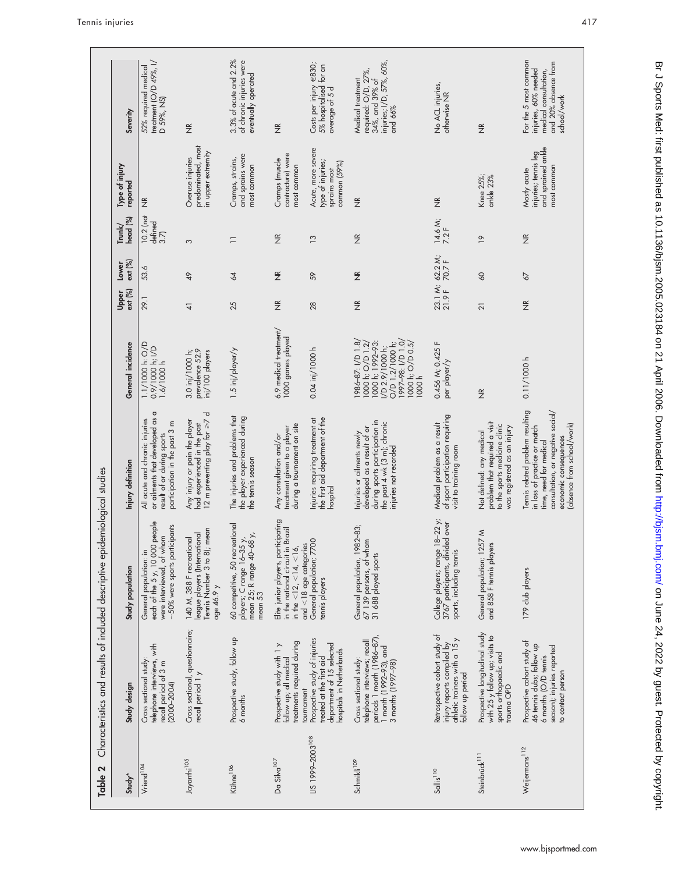|                                                                             | Severity                   | treatment ( $O/D$ 49%, $ /$<br>52% required medical<br>D 59%, NS)                                                                   |                                                                                                            | 3.3% of acute and 2.2%<br>of chronic injuries were<br>eventually operated                            |                                                                                                                                              | Costs per injury €830;<br>5% hospitalised for an<br>average of 5 d                                                 | injuries; I/D, 57%, 60%,<br>required: O/D, 27%,<br>34%, and 39% of<br>Medical treatment<br>and 66%                                                   | No ACL injuries,<br>otherwise NR                                                                                  |                                                                                                                           | For the 5 most common<br>and 20% absence from<br>injuries, 60% needed<br>medical consultation,<br>school/work                                                                          |
|-----------------------------------------------------------------------------|----------------------------|-------------------------------------------------------------------------------------------------------------------------------------|------------------------------------------------------------------------------------------------------------|------------------------------------------------------------------------------------------------------|----------------------------------------------------------------------------------------------------------------------------------------------|--------------------------------------------------------------------------------------------------------------------|------------------------------------------------------------------------------------------------------------------------------------------------------|-------------------------------------------------------------------------------------------------------------------|---------------------------------------------------------------------------------------------------------------------------|----------------------------------------------------------------------------------------------------------------------------------------------------------------------------------------|
|                                                                             | Type of injury<br>reported | $\widetilde{\Xi}$                                                                                                                   | $\frac{\alpha}{2}$<br>predominated, most<br>in upper extremity<br>Overuse injuries                         | and sprains were<br>Cramps, strains,<br>most common                                                  | $\frac{\alpha}{2}$<br>contracture) were<br>Cramps (muscle<br>most common                                                                     | Acute, more severe<br>type of injuries;<br>common $(59\%)$<br>sprains most                                         | $\widetilde{\Xi}$                                                                                                                                    | $\widetilde{\Xi}$                                                                                                 | $\frac{\alpha}{2}$<br>Knee 25%;<br>ankle 23%                                                                              | injuries; tennis leg<br>and sprained ankle<br>most common<br>Mostly acute                                                                                                              |
|                                                                             | head (%)<br>Trm/k/         | 10.2 (not<br>defined<br>3.7                                                                                                         | 3                                                                                                          | $\equiv$                                                                                             | $\widetilde{\Xi}$                                                                                                                            | $\overline{13}$                                                                                                    | $\widetilde{\Xi}$                                                                                                                                    | 14.6 M;<br>7.2 F                                                                                                  | $\overline{P}$                                                                                                            | $\frac{\alpha}{2}$                                                                                                                                                                     |
|                                                                             | ext (%)<br>Lower           | 53.6                                                                                                                                | 49                                                                                                         | $\overline{4}$                                                                                       | $\widetilde{\Xi}$                                                                                                                            | 59                                                                                                                 | $\frac{\alpha}{2}$                                                                                                                                   | 23.1 M; 62.2 M;<br>21.9 F 70.7 F                                                                                  | $\infty$                                                                                                                  | $\delta$                                                                                                                                                                               |
|                                                                             | ext (%)<br>Upper           | 29.1                                                                                                                                | $\pm$                                                                                                      | 25                                                                                                   | $\widetilde{\Xi}$                                                                                                                            | 28                                                                                                                 | $\frac{\alpha}{2}$                                                                                                                                   |                                                                                                                   | 21                                                                                                                        | $\frac{\alpha}{2}$                                                                                                                                                                     |
|                                                                             | General incidence          | 1.1/1000 h: O/D<br>0.9/1000 h; I/D<br>1.6/1000 h                                                                                    | prevalence 52.9<br>3.0 inj/1000 h;<br>inj/100 players                                                      | 1.5 inj/player/y                                                                                     | 6.9 medical treatment/<br>1000 games played                                                                                                  | 0.04 inj/1000 h                                                                                                    | 986-87: I/D 1.8/<br>1997-98: 1/D 1.0/<br>1000 h; 1992-93:<br>1000 h; O/D 1.2<br>$O/D$ 1.2/1000 h;<br>1000 h; O/D 0.5/<br>/D 2.9/1000 h;<br>1000h     | 0.456 M; 0.425 F<br>per player/y                                                                                  | $\frac{\alpha}{2}$                                                                                                        | 0.11/1000 h                                                                                                                                                                            |
|                                                                             | Injury definition          | or ailments that developed as a<br>All acute and chronic injuries<br>Ε<br>participation in the past 3<br>result of or during sports | 12 m preventing play for $\geq 7$ d<br>Any injury or pain the player<br>had experienced in the past        | The injuries and problems that<br>the player experienced during<br>the tennis season                 | during a tournament on site<br>treatment given to a player<br>Any consultation and/or                                                        | the first aid department of the<br>Injuries requiring treatment at<br>hospital                                     | during sports participation in<br>the past 4 wk (3 m); chronic<br>developed as a result of or<br>Injuries or ailments newly<br>injuries not recorded | of sport participation requiring<br>Medical problem as a result<br>visit to training room                         | problem that required a visit<br>to the sports medicine clinic<br>was registered as an injury<br>Not defined: any medical | Tennis related problem resulting<br>consultation, or negative social/<br>(absence from school/work)<br>in loss of practice or match<br>economic consequences<br>time, need for medical |
| Characteristics and results of included descriptive epidemiological studies | Study population           | people<br>$-50\%$ were sports participants<br>were interviewed, of whom<br>each of the 5 y, 10 000<br>General population: in        | mean<br>league players (International<br>140 M, 388 F recreational<br>Tennis Number 3 to 8);<br>age 46.9 y | 60 competitive, 50 recreational<br>players; C range 16-35 y,<br>mean 25; R range 40-68 y,<br>mean 53 | icipating<br>in the national circuit in Brazil<br>$and < 18$ age categories<br>Elite junior players, parti<br>in the $<$ 12, $<$ 14, $<$ 16, | General population; 7700<br>tennis players                                                                         | General population, 1982-83;<br>67 139 persons, of whom<br>31 688 played sports                                                                      | $18 - 22 y$ ;<br>3767 participants, divided over<br>College players; range<br>sports, including tennis            | General population; 1257 M<br>and 858 F tennis players                                                                    | 179 club players                                                                                                                                                                       |
|                                                                             | Study design               | telephone interviews, with<br>Cross sectional study:<br>recall period of 3 m<br>$(2000 - 2004)$                                     | Cross sectional, questionnaire;<br>recall period 1 y                                                       | Prospective study, follow up<br>6 months                                                             | treatments required during<br>Prospective study with 1 y<br>follow up; all medical<br>tournament                                             | Prospective study of injuries<br>department of 15 selected<br>hospitals in Netherlands<br>treated at the first aid | periods 1 month (1986-87),<br>telephone interviews; recall<br>1 month (1992-93), and<br>Cross sectional study:<br>3 months (1997-98)                 | Retrospective cohort study of<br>athletic trainers with a $15y$<br>injury reports compiled by<br>follow up period | Prospective longitudinal study<br>with $25$ y follow up; visits to<br>sports orthopaedic and<br>trauma OPD                | Prospective cohort study of<br>46 tennis clubs; follow up<br>season); injuries reported<br>$6$ months ( $O/D$ tennis<br>to contact person                                              |
| Table 2                                                                     | Study*                     | Vriend <sup>104</sup>                                                                                                               | Jayanthi <sup>105</sup>                                                                                    | Kühne <sup>106</sup>                                                                                 | Da Silva <sup>107</sup>                                                                                                                      | LIS 1999-2003 <sup>108</sup>                                                                                       | Schmikli <sup>109</sup>                                                                                                                              | Sallis <sup>110</sup>                                                                                             | Steinbrück <sup>111</sup>                                                                                                 | Weijermans <sup>112</sup>                                                                                                                                                              |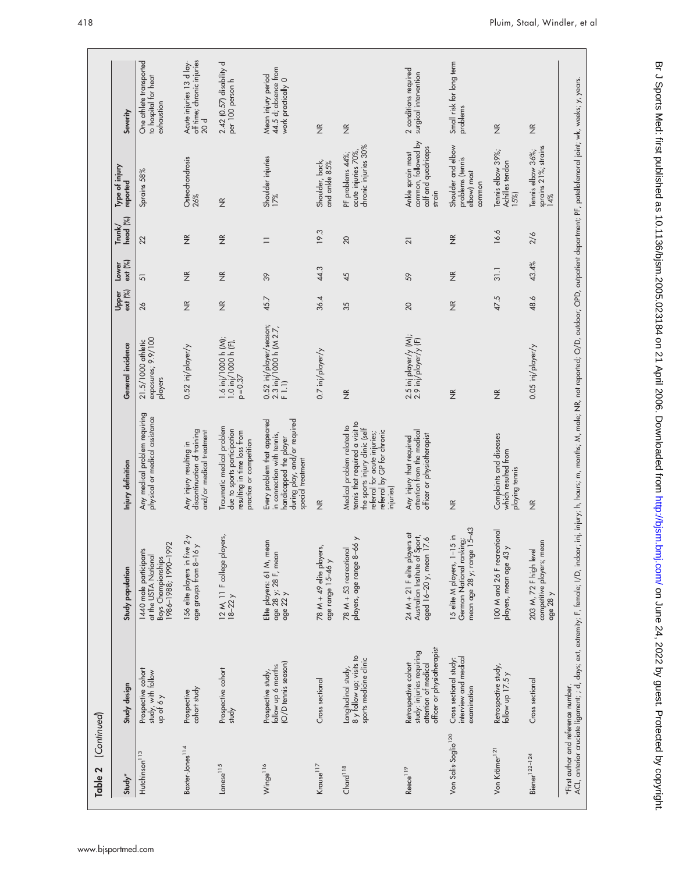| Study*                          | Study design                                                                                            | Study population                                                                             | Injury definition                                                                                                                                                          | General incidence                                           | ext (%)<br>Upper  | ext (%)<br>Lower   | head (%)<br>$\mathsf{Trunk}/$ | Type of injury<br>reported                                                | Severity                                                         |
|---------------------------------|---------------------------------------------------------------------------------------------------------|----------------------------------------------------------------------------------------------|----------------------------------------------------------------------------------------------------------------------------------------------------------------------------|-------------------------------------------------------------|-------------------|--------------------|-------------------------------|---------------------------------------------------------------------------|------------------------------------------------------------------|
| Hutchinson <sup>113</sup>       | Prospective cohort<br>study, with follow<br>up of 6 y                                                   | 1986-1988; 1990-1992<br>1440 male participants<br>at the USTA National<br>Boys Championships | Any medical problem requiring<br>physical or medical assistance                                                                                                            | exposures; 9.9/100<br>21.5/1000 athletic<br>players         | 26                | 51                 | 22                            | Sprains 58%                                                               | One athlete transported<br>to hospital for heat<br>exhaustion    |
| Baxter-Jones <sup>114</sup>     | cohort study<br>Prospective                                                                             | 156 elite players in five 2-y<br>age groups from 8-16 y                                      | discontinuation of training<br>and/or medical treatment<br>Any injury resulting in                                                                                         | $0.52$ inj/player/y                                         | $\widetilde{\Xi}$ | $\frac{\alpha}{2}$ | $\frac{\alpha}{2}$            | Osteochondrosis<br>26%                                                    | off time; chronic injuries<br>Acute injuries 13 d lay-<br>20 d   |
| $L$ anese $115$                 | Prospective cohort<br>study                                                                             | 12 M, 11 F college players,<br>$18-22y$                                                      | Traumatic medical problem<br>due to sports participation<br>resulting in time loss from<br>practice or competition                                                         | 1.6 inj/1000 h (M);<br>1.0 inj/1000 h (F),<br>$p = 0.37$    | $\widetilde{\Xi}$ | $\widetilde{\Xi}$  | $\widetilde{\Xi}$             | $\frac{\alpha}{2}$                                                        | 2.42 (0.57) disability d<br>per 100 person h                     |
| Winge <sup>116</sup>            | (O/D tennis season)<br>follow up 6 months<br>Prospective study,                                         | Elite players: 61 M, mean<br>age $28$ $\frac{1}{22}$ 28 F, mean<br>age 22 $\frac{1}{2}$      | Every problem that appeared<br>during play, and/or required<br>in connection with tennis,<br>handicapped the player<br>special treatment                                   | 0.52 inj/player/season;<br>2.3 inj/1000 h (M 2.7,<br>F 1.1) | 45.7              | $\frac{8}{3}$      | $\equiv$                      | Shoulder injuries<br>17%                                                  | 44.5 d; absence from<br>Mean injury period<br>work practically 0 |
| Krause <sup>117</sup>           | Cross sectional                                                                                         | 78 M + 49 elite players,<br>age range 15-46 y                                                | $\widetilde{\Xi}$                                                                                                                                                          | 0.7 inj/player/y                                            | 36.4              | 44.3               | 19.3                          | Shoulder, back,<br>and ankle 85%                                          | $\widetilde{\Xi}$                                                |
| Chard <sup>118</sup>            | 8 y follow up; visits to<br>sports medicine clinic<br>Longitudinal study,                               | $\left. \right.$<br>players, age range 8-66<br>$78 M + 53$ recreational                      | tennis that required a visit to<br>Medical problem related to<br>the sports injury clinic (self<br>referral by GP for chronic<br>referral for acute injuries;<br>injuries) | $\widetilde{\Xi}$                                           | 35                | 45                 | 20                            | chronic injuries 30%<br>acute injuries 70%,<br>PF problems 44%;           | $\widetilde{\Xi}$                                                |
| Reece <sup>119</sup>            | officer or physiotherapist<br>study: injuries requiring<br>attention of medical<br>Retrospective cohort | 24 $M + 21$ F elite players at<br>Australian Institute of Sport,<br>aged 16–20 y, mean 17.6  | attention from the medical<br>officer or physiotherapist<br>Any injury that required                                                                                       | 2.5 inj player/y (M);<br>2.9 inj/player/y (F)               | 20                | 59                 | 21                            | common, followed by<br>calf and quadriceps<br>Ankle sprain most<br>strain | 2 conditions required<br>surgical intervention                   |
| Von Salis-Soglio <sup>120</sup> | interview and medical<br>Cross sectional study:<br>examination                                          | German National ranking;<br>mean age 28 y; range 15–43<br>15 elite M players, 1-15 in        | $\widetilde{\Xi}$                                                                                                                                                          | $\widetilde{\Xi}$                                           | $\widetilde{\Xi}$ | $\frac{\alpha}{2}$ | $\frac{\alpha}{2}$            | Shoulder and elbow<br>problems (tennis<br>elbow) most<br>common           | Small risk for long term<br>problems                             |
| Von Krämer <sup>121</sup>       | Retrospective study,<br>follow up $17.5y$                                                               | 100 M and 26 F recreational<br>players, mean age 43 y                                        | Complaints and diseases<br>which resulted from<br>playing tennis                                                                                                           | $\widetilde{\Xi}$                                           | 47.5              | 31.1               | 16.6                          | Tennis elbow 39%;<br>Achilles tendon<br>15%                               | $\widetilde{\Xi}$                                                |
| Biener <sup>122-124</sup>       | Cross sectional                                                                                         | competitive players; mean<br>203 M, 72 F high level<br>age $28y$                             | $\frac{\alpha}{2}$                                                                                                                                                         | $0.05$ inj/player/y                                         | 48.6              | 43.4%              | 2/6                           | sprains 21%; strains<br>14%<br>Tennis elbow 36%;                          | $\widetilde{\Xi}$                                                |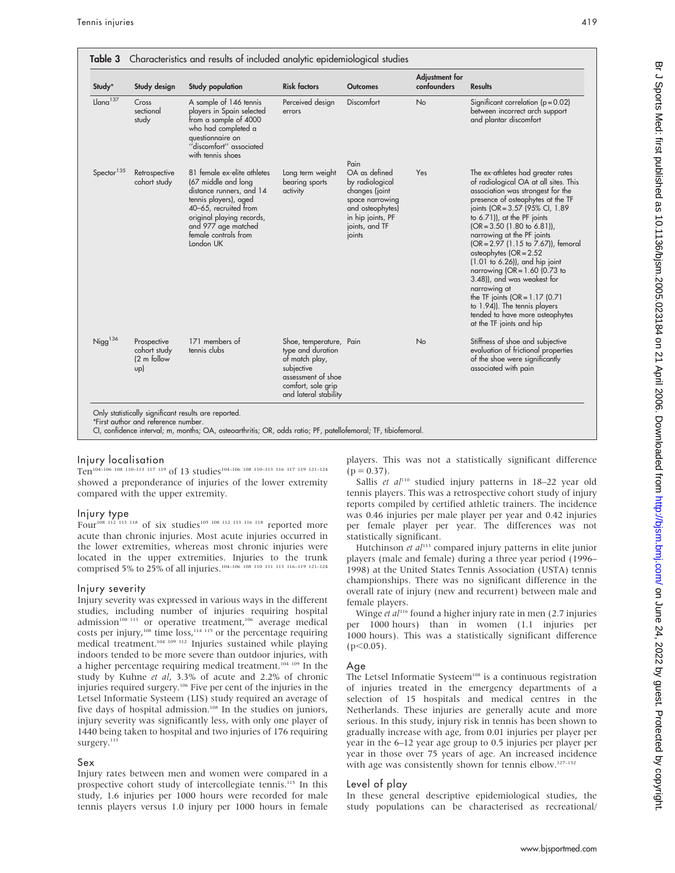| Study*                 | Study design                                      | Study population                                                                                                                                                                                                          | <b>Risk factors</b>                                                                                                                               | <b>Outcomes</b>                                                                                                                                    | Adjustment for<br>confounders | Results                                                                                                                                                                                                                                                                                                                                                                                                                                                                                                                                                                                                                 |
|------------------------|---------------------------------------------------|---------------------------------------------------------------------------------------------------------------------------------------------------------------------------------------------------------------------------|---------------------------------------------------------------------------------------------------------------------------------------------------|----------------------------------------------------------------------------------------------------------------------------------------------------|-------------------------------|-------------------------------------------------------------------------------------------------------------------------------------------------------------------------------------------------------------------------------------------------------------------------------------------------------------------------------------------------------------------------------------------------------------------------------------------------------------------------------------------------------------------------------------------------------------------------------------------------------------------------|
| $Llana$ <sup>137</sup> | Cross<br>sectional<br>study                       | A sample of 146 tennis<br>players in Spain selected<br>from a sample of 4000<br>who had completed a<br>questionnaire on<br>"discomfort" associated<br>with tennis shoes                                                   | Perceived design<br>errors                                                                                                                        | Discomfort                                                                                                                                         | No                            | Significant correlation ( $p = 0.02$ )<br>between incorrect arch support<br>and plantar discomfort                                                                                                                                                                                                                                                                                                                                                                                                                                                                                                                      |
| Spector <sup>135</sup> | Retrospective<br>cohort study                     | 81 female ex-elite athletes<br>(67 middle and long<br>distance runners, and 14<br>tennis players), aged<br>40-65, recruited from<br>original playing records,<br>and 977 age matched<br>female controls from<br>London UK | Long term weight<br>bearing sports<br>activity                                                                                                    | Pain<br>OA as defined<br>by radiological<br>changes (joint<br>space narrowing<br>and osteophytes)<br>in hip joints, PF<br>joints, and TF<br>joints | Yes.                          | The ex-athletes had greater rates<br>of radiological OA at all sites. This<br>association was strongest for the<br>presence of osteophytes at the TF<br>joints (OR = 3.57 (95% CI, 1.89)<br>to 6.71)), at the PF joints<br>$(OR = 3.50 (1.80 to 6.81)),$<br>narrowing at the PF joints<br>(OR = 2.97 (1.15 to 7.67)), femoral<br>osteophytes $(OR = 2.52)$<br>$(1.01$ to 6.26)), and hip joint<br>narrowing $(OR = 1.60)$ (0.73 to<br>3.48)), and was weakest for<br>narrowing at<br>the TF joints ( $OR = 1.17$ (0.71)<br>to 1.94)). The tennis players<br>tended to have more osteophytes<br>at the TF joints and hip |
| $N$ igg <sup>136</sup> | Prospective<br>cohort study<br>(2 m follow<br>up) | 171 members of<br>tennis clubs                                                                                                                                                                                            | Shoe, temperature, Pain<br>type and duration<br>of match play,<br>subjective<br>assessment of shoe<br>comfort, sole grip<br>and lateral stability |                                                                                                                                                    | No                            | Stiffness of shoe and subjective<br>evaluation of frictional properties<br>of the shoe were significantly<br>associated with pain                                                                                                                                                                                                                                                                                                                                                                                                                                                                                       |

### Injury localisation

Ten104–106 108 110–113 117 119 of 13 studies104–106 108 110–113 116 117 119 121–124 showed a preponderance of injuries of the lower extremity compared with the upper extremity.

#### Injury type

Four<sup>108 112</sup> 113 118 of six studies<sup>105 108 112 113 116 118</sup> reported more acute than chronic injuries. Most acute injuries occurred in the lower extremities, whereas most chronic injuries were located in the upper extremities. Injuries to the trunk comprised 5% to 25% of all injuries.104–106 108 110 111 113 116–119 121–124

#### Injury severity

Injury severity was expressed in various ways in the different studies, including number of injuries requiring hospital admission<sup>108 113</sup> or operative treatment,<sup>106</sup> average medical costs per injury,<sup>108</sup> time loss,<sup>114 115</sup> or the percentage requiring medical treatment.104 109 112 Injuries sustained while playing indoors tended to be more severe than outdoor injuries, with a higher percentage requiring medical treatment.<sup>104 109</sup> In the study by Kuhne et al, 3.3% of acute and 2.2% of chronic injuries required surgery.106 Five per cent of the injuries in the Letsel Informatie Systeem (LIS) study required an average of five days of hospital admission.<sup>108</sup> In the studies on juniors, injury severity was significantly less, with only one player of 1440 being taken to hospital and two injuries of 176 requiring surgery.<sup>113</sup>

#### Sex

Injury rates between men and women were compared in a prospective cohort study of intercollegiate tennis.<sup>115</sup> In this study, 1.6 injuries per 1000 hours were recorded for male tennis players versus 1.0 injury per 1000 hours in female

players. This was not a statistically significant difference  $(p = 0.37)$ .

Sallis et  $al^{110}$  studied injury patterns in 18-22 year old tennis players. This was a retrospective cohort study of injury reports compiled by certified athletic trainers. The incidence was 0.46 injuries per male player per year and 0.42 injuries per female player per year. The differences was not statistically significant.

Hutchinson et  $al^{113}$  compared injury patterns in elite junior players (male and female) during a three year period (1996– 1998) at the United States Tennis Association (USTA) tennis championships. There was no significant difference in the overall rate of injury (new and recurrent) between male and female players.

Winge et  $al<sup>116</sup>$  found a higher injury rate in men (2.7 injuries per 1000 hours) than in women (1.1 injuries per 1000 hours). This was a statistically significant difference  $(p<0.05)$ .

#### Age

The Letsel Informatie Systeem<sup>108</sup> is a continuous registration of injuries treated in the emergency departments of a selection of 15 hospitals and medical centres in the Netherlands. These injuries are generally acute and more serious. In this study, injury risk in tennis has been shown to gradually increase with age, from 0.01 injuries per player per year in the 6–12 year age group to 0.5 injuries per player per year in those over 75 years of age. An increased incidence with age was consistently shown for tennis elbow.<sup>127-132</sup>

#### Level of play

In these general descriptive epidemiological studies, the study populations can be characterised as recreational/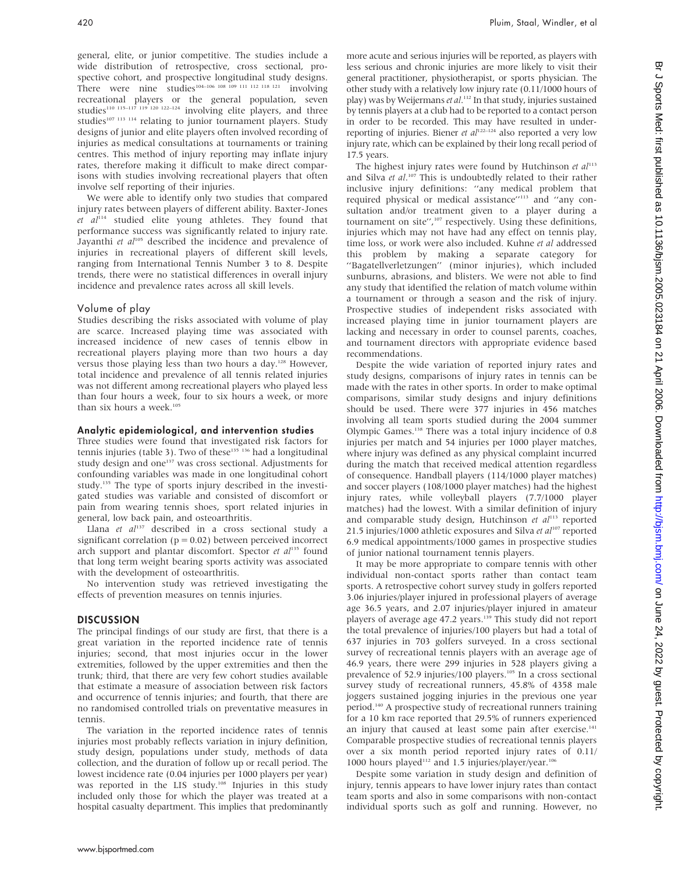general, elite, or junior competitive. The studies include a wide distribution of retrospective, cross sectional, prospective cohort, and prospective longitudinal study designs. There were nine studies<sup>104–106</sup> 108 109 111 112 118 121 involving recreational players or the general population, seven studies<sup>110 115</sup><sup>-117 119 120 122-124</sup> involving elite players, and three studies<sup>107 113 114</sup> relating to junior tournament players. Study designs of junior and elite players often involved recording of injuries as medical consultations at tournaments or training centres. This method of injury reporting may inflate injury rates, therefore making it difficult to make direct comparisons with studies involving recreational players that often involve self reporting of their injuries.

We were able to identify only two studies that compared injury rates between players of different ability. Baxter-Jones  $et$   $al<sup>114</sup>$  studied elite young athletes. They found that performance success was significantly related to injury rate. Jayanthi et  $aI^{105}$  described the incidence and prevalence of injuries in recreational players of different skill levels, ranging from International Tennis Number 3 to 8. Despite trends, there were no statistical differences in overall injury incidence and prevalence rates across all skill levels.

#### Volume of play

Studies describing the risks associated with volume of play are scarce. Increased playing time was associated with increased incidence of new cases of tennis elbow in recreational players playing more than two hours a day versus those playing less than two hours a day.<sup>128</sup> However, total incidence and prevalence of all tennis related injuries was not different among recreational players who played less than four hours a week, four to six hours a week, or more than six hours a week. $10$ 

#### Analytic epidemiological, and intervention studies

Three studies were found that investigated risk factors for tennis injuries (table 3). Two of these<sup>135</sup> <sup>136</sup> had a longitudinal study design and one<sup>137</sup> was cross sectional. Adjustments for confounding variables was made in one longitudinal cohort study.135 The type of sports injury described in the investigated studies was variable and consisted of discomfort or pain from wearing tennis shoes, sport related injuries in general, low back pain, and osteoarthritis.

Llana et  $a^{137}$  described in a cross sectional study a significant correlation ( $p = 0.02$ ) between perceived incorrect arch support and plantar discomfort. Spector et  $al^{135}$  found that long term weight bearing sports activity was associated with the development of osteoarthritis.

No intervention study was retrieved investigating the effects of prevention measures on tennis injuries.

#### DISCUSSION

The principal findings of our study are first, that there is a great variation in the reported incidence rate of tennis injuries; second, that most injuries occur in the lower extremities, followed by the upper extremities and then the trunk; third, that there are very few cohort studies available that estimate a measure of association between risk factors and occurrence of tennis injuries; and fourth, that there are no randomised controlled trials on preventative measures in tennis.

The variation in the reported incidence rates of tennis injuries most probably reflects variation in injury definition, study design, populations under study, methods of data collection, and the duration of follow up or recall period. The lowest incidence rate (0.04 injuries per 1000 players per year) was reported in the LIS study.<sup>108</sup> Injuries in this study included only those for which the player was treated at a hospital casualty department. This implies that predominantly more acute and serious injuries will be reported, as players with less serious and chronic injuries are more likely to visit their general practitioner, physiotherapist, or sports physician. The other study with a relatively low injury rate (0.11/1000 hours of play) was by Weijermans et al.<sup>112</sup> In that study, injuries sustained by tennis players at a club had to be reported to a contact person in order to be recorded. This may have resulted in underreporting of injuries. Biener et  $al^{122-124}$  also reported a very low injury rate, which can be explained by their long recall period of 17.5 years.

The highest injury rates were found by Hutchinson et  $al^{113}$ and Silva et al.<sup>107</sup> This is undoubtedly related to their rather inclusive injury definitions: ''any medical problem that required physical or medical assistance''113 and ''any consultation and/or treatment given to a player during a tournament on site",<sup>107</sup> respectively. Using these definitions, injuries which may not have had any effect on tennis play, time loss, or work were also included. Kuhne et al addressed this problem by making a separate category for ''Bagatellverletzungen'' (minor injuries), which included sunburns, abrasions, and blisters. We were not able to find any study that identified the relation of match volume within a tournament or through a season and the risk of injury. Prospective studies of independent risks associated with increased playing time in junior tournament players are lacking and necessary in order to counsel parents, coaches, and tournament directors with appropriate evidence based recommendations.

Despite the wide variation of reported injury rates and study designs, comparisons of injury rates in tennis can be made with the rates in other sports. In order to make optimal comparisons, similar study designs and injury definitions should be used. There were 377 injuries in 456 matches involving all team sports studied during the 2004 summer Olympic Games.138 There was a total injury incidence of 0.8 injuries per match and 54 injuries per 1000 player matches, where injury was defined as any physical complaint incurred during the match that received medical attention regardless of consequence. Handball players (114/1000 player matches) and soccer players (108/1000 player matches) had the highest injury rates, while volleyball players (7.7/1000 player matches) had the lowest. With a similar definition of injury and comparable study design, Hutchinson et  $al<sup>113</sup>$  reported 21.5 injuries/1000 athletic exposures and Silva et  $al^{107}$  reported 6.9 medical appointments/1000 games in prospective studies of junior national tournament tennis players.

It may be more appropriate to compare tennis with other individual non-contact sports rather than contact team sports. A retrospective cohort survey study in golfers reported 3.06 injuries/player injured in professional players of average age 36.5 years, and 2.07 injuries/player injured in amateur players of average age 47.2 years.<sup>139</sup> This study did not report the total prevalence of injuries/100 players but had a total of 637 injuries in 703 golfers surveyed. In a cross sectional survey of recreational tennis players with an average age of 46.9 years, there were 299 injuries in 528 players giving a prevalence of 52.9 injuries/100 players.<sup>105</sup> In a cross sectional survey study of recreational runners, 45.8% of 4358 male joggers sustained jogging injuries in the previous one year period.140 A prospective study of recreational runners training for a 10 km race reported that 29.5% of runners experienced an injury that caused at least some pain after exercise.<sup>141</sup> Comparable prospective studies of recreational tennis players over a six month period reported injury rates of 0.11/ 1000 hours played<sup>112</sup> and 1.5 injuries/player/year.<sup>106</sup>

Despite some variation in study design and definition of injury, tennis appears to have lower injury rates than contact team sports and also in some comparisons with non-contact individual sports such as golf and running. However, no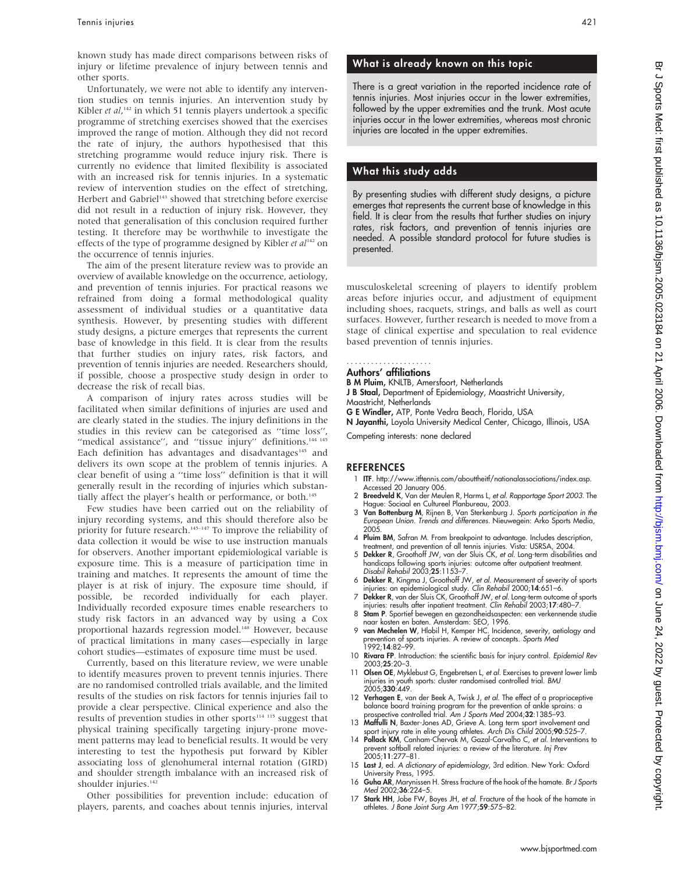known study has made direct comparisons between risks of injury or lifetime prevalence of injury between tennis and other sports.

Unfortunately, we were not able to identify any intervention studies on tennis injuries. An intervention study by Kibler et al,<sup>142</sup> in which 51 tennis players undertook a specific programme of stretching exercises showed that the exercises improved the range of motion. Although they did not record the rate of injury, the authors hypothesised that this stretching programme would reduce injury risk. There is currently no evidence that limited flexibility is associated with an increased risk for tennis injuries. In a systematic review of intervention studies on the effect of stretching, Herbert and Gabriel<sup>143</sup> showed that stretching before exercise did not result in a reduction of injury risk. However, they noted that generalisation of this conclusion required further testing. It therefore may be worthwhile to investigate the effects of the type of programme designed by Kibler et  $al^{142}$  on the occurrence of tennis injuries.

The aim of the present literature review was to provide an overview of available knowledge on the occurrence, aetiology, and prevention of tennis injuries. For practical reasons we refrained from doing a formal methodological quality assessment of individual studies or a quantitative data synthesis. However, by presenting studies with different study designs, a picture emerges that represents the current base of knowledge in this field. It is clear from the results that further studies on injury rates, risk factors, and prevention of tennis injuries are needed. Researchers should, if possible, choose a prospective study design in order to decrease the risk of recall bias.

A comparison of injury rates across studies will be facilitated when similar definitions of injuries are used and are clearly stated in the studies. The injury definitions in the studies in this review can be categorised as ''time loss'', "medical assistance", and "tissue injury" definitions.<sup>144 145</sup> Each definition has advantages and disadvantages<sup>145</sup> and delivers its own scope at the problem of tennis injuries. A clear benefit of using a ''time loss'' definition is that it will generally result in the recording of injuries which substantially affect the player's health or performance, or both.<sup>145</sup>

Few studies have been carried out on the reliability of injury recording systems, and this should therefore also be priority for future research.<sup>145–147</sup> To improve the reliability of data collection it would be wise to use instruction manuals for observers. Another important epidemiological variable is exposure time. This is a measure of participation time in training and matches. It represents the amount of time the player is at risk of injury. The exposure time should, if possible, be recorded individually for each player. Individually recorded exposure times enable researchers to study risk factors in an advanced way by using a Cox proportional hazards regression model.<sup>148</sup> However, because of practical limitations in many cases—especially in large cohort studies—estimates of exposure time must be used.

Currently, based on this literature review, we were unable to identify measures proven to prevent tennis injuries. There are no randomised controlled trials available, and the limited results of the studies on risk factors for tennis injuries fail to provide a clear perspective. Clinical experience and also the results of prevention studies in other sports $114$   $115$  suggest that physical training specifically targeting injury-prone movement patterns may lead to beneficial results. It would be very interesting to test the hypothesis put forward by Kibler associating loss of glenohumeral internal rotation (GIRD) and shoulder strength imbalance with an increased risk of shoulder injuries.<sup>142</sup>

Other possibilities for prevention include: education of players, parents, and coaches about tennis injuries, interval

# What is already known on this topic

There is a great variation in the reported incidence rate of tennis injuries. Most injuries occur in the lower extremities, followed by the upper extremities and the trunk. Most acute injuries occur in the lower extremities, whereas most chronic injuries are located in the upper extremities.

# What this study adds

By presenting studies with different study designs, a picture emerges that represents the current base of knowledge in this field. It is clear from the results that further studies on injury rates, risk factors, and prevention of tennis injuries are needed. A possible standard protocol for future studies is presented.

musculoskeletal screening of players to identify problem areas before injuries occur, and adjustment of equipment including shoes, racquets, strings, and balls as well as court surfaces. However, further research is needed to move from a stage of clinical expertise and speculation to real evidence based prevention of tennis injuries.

#### Authors' affiliations .....................

B M Pluim, KNLTB, Amersfoort, Netherlands J B Staal, Department of Epidemiology, Maastricht University,

Maastricht, Netherlands G E Windler, ATP, Ponte Vedra Beach, Florida, USA

N Jayanthi, Loyola University Medical Center, Chicago, Illinois, USA

Competing interests: none declared

# REFERENCES

- 1 ITF. http://www.itftennis.com/abouttheitf/nationalassociations/index.asp. Accessed 20 January 006.
- 2 Breedveld K, Van der Meulen R, Harms L, et al. Rapportage Sport 2003. The
- Hague: Sociaal en Cultureel Planbureau, 2003.<br>3 **Van Bottenburg M**, Rijnen B, Van Sterkenburg J. *Sports participation in the* European Union. Trends and differences. Nieuwegein: Arko Sports Media, 2005.
- 4 Pluim BM, Safran M. From breakpoint to advantage. Includes description,
- treatment, and prevention of all tennis injuries. Vista: USRSA, 2004.<br>5 Dekker R, Groothoff JW, van der Sluis CK, *et al*. Long-term disabilities and handicaps following sports injuries: outcome after outpatient treatment. Disabil Rehabil 2003;25:1153–7.
- 6 Dekker R, Kingma J, Groothoff JW, et al. Measurement of severity of sports injuries: an epidemiological study. Clin Rehabil 2000;14:651–6.<br>7 Dekker R, van der Sluis CK, Groothoff JW, et al. Long-term outcome of sports
- injuries: results after inpatient treatment. Clin Rehabil 2003;17:480-7
- 8 Stam P. Sportief bewegen en gezondheidsaspecten: een verkennende studie naar kosten en baten. Amsterdam: SEO, 1996.
- 9 van Mechelen W, Hlobil H, Kemper HC. Incidence, severity, aetiology and revention of sports injuries. A review of concepts. Sports Med 1992;14:82–99.
- 10 Rivara FP. Introduction: the scientific basis for injury control. Epidemiol Rev 2003;25:20–3.
- 11 Olsen OE, Myklebust G, Engebretsen L, et al. Exercises to prevent lower limb injuries in youth sports: cluster randomised controlled trial. BMJ 2005;330:449.
- 12 Verhagen E, van der Beek A, Twisk J, et al. The effect of a proprioceptive balance board training program for the prevention of ankle sprains: a ospective controlled trial. Am J Sports Med 2004;32:1385-93.
- 13 Maffulli N, Baxter-Jones AD, Grieve A. Long term sport involvement and<br>sport injury rate in elite young athletes. Arch Dis Child 2005;90:525–7.<br>14 Pollack KM, Canham-Chervak M, Gazal-Carvalho C, *et al.* Interventions t
- prevent softball related injuries: a review of the literature. Inj Prev 2005;11:277–81.
- 15 Last J, ed. A dictionary of epidemiology, 3rd edition. New York: Oxford University Press, 1995.
- 16 Guha AR, Marynissen H. Stress fracture of the hook of the hamate. Br J Sports Med 2002:36:224-5.
- 17 Stark HH, Jobe FW, Boyes JH, et al. Fracture of the hook of the hamate in athletes. J Bone Joint Surg Am 1977;59:575–82.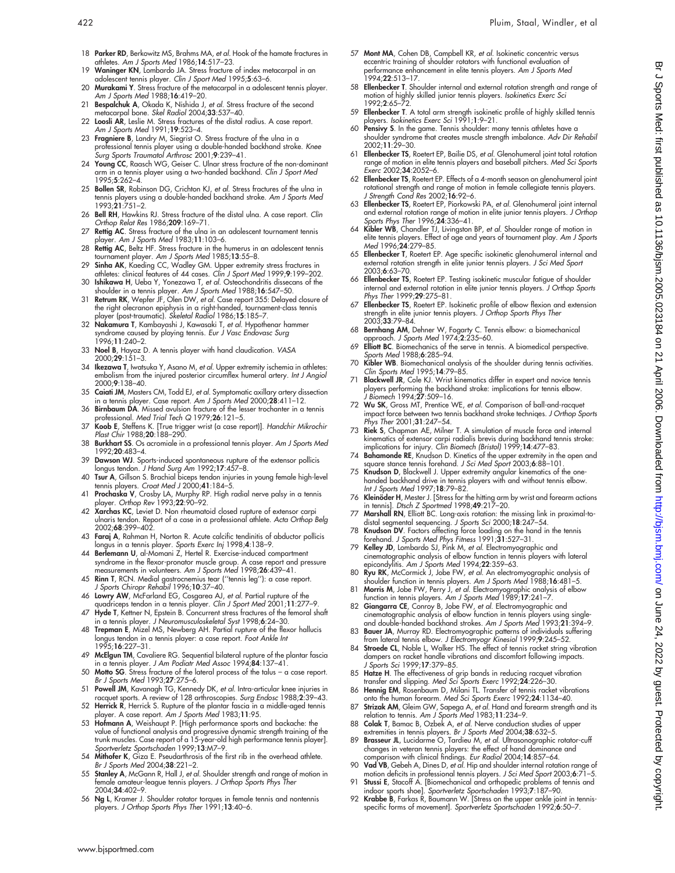- 18 Parker RD, Berkowitz MS, Brahms MA, et al. Hook of the hamate fractures in athletes. Am J Sports Med 1986;14:517–23.
- 19 Waninger KN, Lombardo JA. Stress fracture of index metacarpal in an adolescent tennis player. Clin J Sport Med 1995;5:63–6. 20 **Murakami Y**. Stress fracture of the metacarpal in a adolescent tennis player.
- Am J Sports Med 1988;16:419-20. 21 Bespalchuk A, Okada K, Nishida J, et al. Stress fracture of the second
- metacarpal bone. Skel Radiol 2004;33:537–40. 22 Loosli AR, Leslie M. Stress fractures of the distal radius. A case report.
- Am J Sports Med 1991;19:523-4. 23 Fragniere B, Landry M, Siegrist O. Stress fracture of the ulna in a professional tennis player using a double-handed backhand stroke. Knee Surg Sports Traumatol Arthrosc 2001;9:239–41.
- 24 Young CC, Raasch WG, Geiser C. Ulnar stress fracture of the non-dominant arm in a tennis player using a two-handed backhand. Clin J Sport Med 1995;5:262–4.
- 25 Bollen SR, Robinson DG, Crichton KJ, et al. Stress fractures of the ulna in tennis players using a double-handed backhand stroke. Am J Sports Med 1993;21:751–2.
- 26 Bell RH, Hawkins RJ. Stress fracture of the distal ulna. A case report. Clin Orthop Relat Res 1986;209:169–71.
- 27 Rettig AC. Stress fracture of the ulna in an adolescent tournament tennis player. Am J Sports Med 1983;11:103–6.
- 28 Rettig AC, Beltz HF. Stress fracture in the humerus in an adolescent tennis
- tournament player. Am J Sports Med 1985;13:55–8.<br>29 Sinha AK, Kaeding CC, Wadley GM. Upper extremity stress fractures in<br>1999;9:199–202. athletes: clinical features of 44 cases. Clin J Sport Med 1999;9:199–202.
- 30 Ishikawa H, Ueba Y, Yonezawa T, et al. Osteochondritis dissecans of the shoulder in a tennis player. Am J Sports Med 1988;16:547–50.
- 31 Retrum RK, Wepfer JF, Olen DW, et al. Case report 355: Delayed closure of the right olecranon epiphysis in a right-handed, tournament-class tennis layer (post-traumatic). *Skeletal Radiol* 1986;**15**:185–7.
- 32 Nakamura T, Kambayashi J, Kawasaki T, et al. Hypothenar hammer syndrome caused by playing tennis. Eur J Vasc Endovasc Surg 1996;11:240–2.
- 33 Noel B, Hayoz D. A tennis player with hand claudication. VASA 2000;29:151–3.
- 34 Ikezawa T, Iwatsuka Y, Asano M, et al. Upper extremity ischemia in athletes: embolism from the injured posterior circumflex humeral artery. Int J Angiol 2000;9:138–40.
- 35 Caiati JM, Masters CM, Todd EJ, et al. Symptomatic axillary artery dissection n a tennis player. Case report. Am J Sports Med 2000;28:411–12.
- 36 Birnbaum DA. Missed avulsion fracture of the lesser trochanter in a tennis
- professional. Med Trial Tech Q 1979;**26**:121–5.<br>37 **Koob E**, Steffens K. [True trigger wrist (a case report)]. Handchir Mikrochir<br>Plast Chir 1988;**20**:188–290.
- 38 Burkhart SS. Os acromiale in a professional tennis player. Am J Sports Med 1992;20:483–4.
- 39 Dawson WJ. Sports-induced spontaneous rupture of the extensor pollicis longus tendon. J Hand Surg Am 1992;17:457–8.
- 40 Tsur A, Gillson S. Brachial biceps tendon injuries in young female high-level tennis players. Croat Med J 2000;41:184-5.
- 41 Prochaska V, Crosby LA, Murphy RP. High radial nerve palsy in a tennis player. Orthop Rev 1993;22:90–92.
- 42 Xarchas KC, Leviet D. Non rheumatoid closed rupture of extensor carpi ulnaris tendon. Report of a case in a professional athlete. Acta Orthop Belg 2002;68:399–402.
- 43 Faraj A, Rahman H, Norton R. Acute calcific tendinitis of abductor pollicis longus in a tennis player. Sports Exerc Inj 1998;4:138–9.
- 44 Berlemann U, al-Momani Z, Hertel R. Exercise-induced compartment syndrome in the flexor-pronator muscle group. A case report and pressure measurements in volunteers. Am J Sports Med 1998;26:439-41.
- 45 Rinn T, RCN. Medial gastrocnemius tear (''tennis leg''): a case report. J Sports Chiropr Rehabil 1996;10:37–40.
- 46 Lowry AW, McFarland EG, Cosgarea AJ, et al. Partial rupture of the quadriceps tendon in a tennis player. Clin J Sport Med 2001;11:277–9.
- 47 Hyde T, Kettner N, Epstein B. Concurrent stress fractures of the femoral shaft in a tennis player. J Neuromusculoskeletal Syst 1998;6:24–30.
- 48 Trepman E, Mizel MS, Newberg AH. Partial rupture of the flexor hallucis longus tendon in a tennis player: a case report. Foot Ankle Int 1995;16:227–31.
- 49 McElgun TM, Cavaliere RG. Sequential bilateral rupture of the plantar fascia in a tennis player. J Am Podiatr Med Assoc 1994;84:137–41.
- 50 Motto SG. Stress fracture of the lateral process of the talus a case report. Br J Sports Med 1993;27:275–6.
- 51 Powell JM, Kavanagh TG, Kennedy DK, et al. Intra-articular knee injuries in racquet sports. A review of 128 arthroscopies. Surg Endosc 1988;2:39–43.
- 52 Herrick R, Herrick S. Rupture of the plantar fascia in a middle-aged tennis player. A case report. Am J Sports Med 1983;11:95.
- player. A case report. Am J Sports Med 1983;11:95.<br>53 **Hofmann A**, Weishaupt P. [High performance sports and backache: the value of functional analysis and progressive dynamic strength training of the trunk muscles. Case r
- 54 Mithofer K, Giza E. Pseudarthrosis of the first rib in the overhead athlete. Br J Sports Med 2004;38:221–2.
- 55 Stanley A, McGann R, Hall J, et al. Shoulder strength and range of motion in female amateur-league tennis players. J Orthop Sports Phys Ther 2004;34:402–9.
- 56 Ng L, Kramer J. Shoulder rotator torques in female tennis and nontennis players. J Orthop Sports Phys Ther 1991;13:40–6.
- 57 Mont MA, Cohen DB, Campbell KR, et al. Isokinetic concentric versus eccentric training of shoulder rotators with functional evaluation of performance enhancement in elite tennis players. Am J Sports Med 1994;22:513–17.
- 58 Ellenbecker T. Shoulder internal and external rotation strength and range of motion of highly skilled junior tennis players. Isokinetics Exerc Sci 1992;2:65–72.
- 59 Ellenbecker T. A total arm strength isokinetic profile of highly skilled tennis players. Isokinetics Exerc Sci 1991;1:9–21.
- 60 Pensivy S. In the game. Tennis shoulder: many tennis athletes have a shoulder syndrome that creates muscle strength imbalance. Adv Dir Rehabil 2002;11:29–30.
- 61 Ellenbecker TS, Roetert EP, Bailie DS, et al. Glenohumeral joint total rotation range of motion in elite tennis players and baseball pitchers. Med Sci Sports Exerc 2002;34:2052–6.
- 62 Ellenbecker TS, Roetert EP. Effects of a 4-month season on glenohumeral joint rotational strength and range of motion in female collegiate tennis players.<br>*J Strength Cond Res* 2002;**16**:92–6.
- 63 Ellenbecker TS, Roetert EP, Piorkowski PA, et al. Glenohumeral joint internal and external rotation range of motion in elite junior tennis players. J Orthop Sports Phys Ther 1996; **24**: 336-41.
- 64 Kibler WB, Chandler TJ, Livingston BP, et al. Shoulder range of motion in elite tennis players. Effect of age and years of tournament play. Am J Sports Med 1996;24:279–85.
- 65 Ellenbecker T, Roetert EP. Age specific isokinetic glenohumeral internal and external rotation strength in elite junior tennis players. J Sci Med Sport 2003;6:63–70.
- 66 Ellenbecker TS, Roetert EP. Testing isokinetic muscular fatigue of shoulder internal and external rotation in elite junior tennis players. J Orthop Sports Phys Ther 1999;29:275-81.
- 67 Ellenbecker TS, Roetert EP. Isokinetic profile of elbow flexion and extension strength in elite junior tennis players. J Orthop Sports Phys Ther<br>2003:33:79-84
- 2003;33:79–84. 68 Bernhang AM, Dehner W, Fogarty C. Tennis elbow: a biomechanical approach. J Sports Med 1974;2:235–60.
- 69 Elliott BC. Biomechanics of the serve in tennis. A biomedical perspective. Sports Med 1988;6:285-94.
- 70 Kibler WB. Biomechanical analysis of the shoulder during tennis activities. Clin Sports Med 1995;14:79–85.
- 71 Blackwell JR, Cole KJ. Wrist kinematics differ in expert and novice tennis players performing the backhand stroke: implications for tennis elbow.<br>J Biomech 1994;**27**:509–16.
- 72 Wu SK, Gross MT, Prentice WE, et al. Comparison of ball-and-racquet impact force between two tennis backhand stroke techniqes. J Orthop Sports Phys Ther 2001;31:247-54.
- Riek S, Chapman AE, Milner T. A simulation of muscle force and internal kinematics of extensor carpi radialis brevis during backhand tennis stroke: implications for injury. Clin Biomech (Bristol) 1999;14:477–83.
- 74 Bahamonde RE, Knudson D. Kinetics of the upper extremity in the open and square stance tennis forehand. J Sci Med Sport 2003;6:88–101.
- 75 Knudson D, Blackwell J. Upper extremity angular kinematics of the onehanded backhand drive in tennis players with and without tennis elbow. Int J Sports Med 1997;18:79–82.
- 76 **Kleinöder H**, Mester J. [Stress for the hitting arm by wrist and forearm actions<br>in tennis]. *Dtsch Z Sportmed* 1998;**49**:217–20.
- 77 Marshall RN, Elliott BC. Long-axis rotation: the missing link in proximal-to-distal segmental sequencing. J Sports Sci 2000;18:247–54.
- 78 Knudson DV. Factors affecting force loading on the hand in the tennis
- forehand. *J Sports Med Phys Fitness* 1991;31:527–31.<br>79 **Kelley JD**, Lombardo SJ, Pink M, *et al.* Electromyographic and<br>cinematographic analysis of elbow function in tennis players with lateral<br>epicondylitis. Am J Sports
- 80 Ryu RK, McCormick J, Jobe FW, et al. An electromyographic analysis of shoulder function in tennis players. Am J Sports Med 1988;16:481–5.
- 81 Morris M, Jobe FW, Perry J, et al. Electromyographic analysis of elbow function in tennis players. Am J Sports Med 1989;17:241–7.
- 82 Giangarra CE, Conroy B, Jobe FW, *et al.* Electromyographic and<br>cinematographic analysis of elbow function in tennis players using single-<br>and double-handed backhand strokes. Am J Sports Med 1993;**21**:394–9.
- 83 Bauer JA, Murray RD. Electromyographic patterns of individuals suffering
- from lateral tennis elbow. *J Electromyogr Kinesiol* 1999;**9:**245–52.<br>84 St**roede CL**, Noble L, Walker HS. The effect of tennis racket string vibration dampers on racket handle vibrations and discomfort following impacts. J Sports Sci 1999;17:379–85.
- 85 Hatze H. The effectiveness of grip bands in reducing racquet vibration<br>transfer and slipping. *Med Sci Sports Exerc* 1992;**24**:226–30.<br>86 Hennig EM, Rosenbaum D, Milani TL. Transfer of tennis racket vibrations
- onto the human forearm. Med Sci Sports Exerc 1992;24:1134–40.
- 87 Strizak AM, Gleim GW, Sapega A, et al. Hand and forearm strength and its relation to tennis. Am J Sports Med 1983;11:234–9.
- 88 Colak T, Bamac B, Ozbek A, et al. Nerve conduction studies of upper extremities in tennis players. Br J Sports Med 2004;38:632-5.
- 89 Brasseur JL, Lucidarme O, Tardieu M, *et al.* Ultrasonographic rotator-cult<br>changes in veteran tennis players: the effect of hand dominance and<br>comparison with clinical lindings. *Eur Radiol 2004;*14:857-64.<br>**Vad VB**, G
- motion deficits in professional tennis players. J Sci Med Sport 2003;6:71-5.
- 91 Stussi E, Stacoff A. [Biomechanical and orthopedic problems of tennis and indoor sports shoe]. Sportverletz Sportschaden 1993;7:187–90.
- 92 Krabbe B, Farkas R, Baumann W. [Stress on the upper ankle joint in tennisspecific forms of movement]. Sportverletz Sportschaden 1992;6:50–7.

ри<br>С